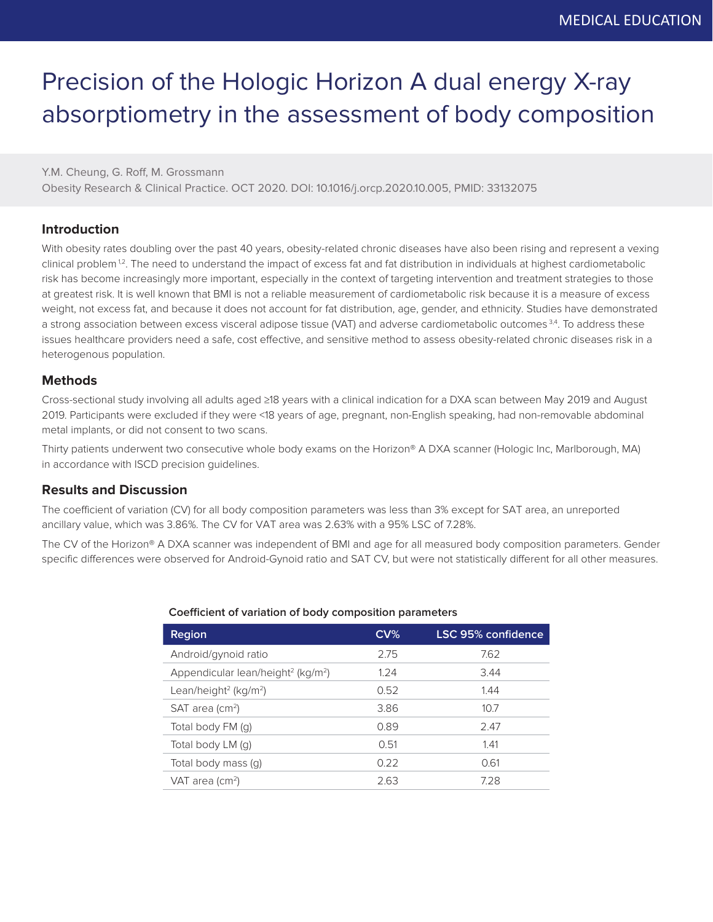# Precision of the Hologic Horizon A dual energy X-ray absorptiometry in the assessment of body composition

Y.M. Cheung, G. Roff, M. Grossmann Obesity Research & Clinical Practice. OCT 2020. DOI: 10.1016/j.orcp.2020.10.005, PMID: 33132075

## **Introduction**

With obesity rates doubling over the past 40 years, obesity-related chronic diseases have also been rising and represent a vexing clinical problem<sup>12</sup>. The need to understand the impact of excess fat and fat distribution in individuals at highest cardiometabolic risk has become increasingly more important, especially in the context of targeting intervention and treatment strategies to those at greatest risk. It is well known that BMI is not a reliable measurement of cardiometabolic risk because it is a measure of excess weight, not excess fat, and because it does not account for fat distribution, age, gender, and ethnicity. Studies have demonstrated a strong association between excess visceral adipose tissue (VAT) and adverse cardiometabolic outcomes 3,4. To address these issues healthcare providers need a safe, cost effective, and sensitive method to assess obesity-related chronic diseases risk in a heterogenous population.

### **Methods**

Cross-sectional study involving all adults aged ≥18 years with a clinical indication for a DXA scan between May 2019 and August 2019. Participants were excluded if they were <18 years of age, pregnant, non-English speaking, had non-removable abdominal metal implants, or did not consent to two scans.

Thirty patients underwent two consecutive whole body exams on the Horizon® A DXA scanner (Hologic Inc, Marlborough, MA) in accordance with ISCD precision guidelines.

## **Results and Discussion**

The coefficient of variation (CV) for all body composition parameters was less than 3% except for SAT area, an unreported ancillary value, which was 3.86%. The CV for VAT area was 2.63% with a 95% LSC of 7.28%.

The CV of the Horizon® A DXA scanner was independent of BMI and age for all measured body composition parameters. Gender specific differences were observed for Android-Gynoid ratio and SAT CV, but were not statistically different for all other measures.

#### **Coefficient of variation of body composition parameters**

| <b>Region</b>                                              | CV <sub>6</sub> | <b>LSC 95% confidence</b> |
|------------------------------------------------------------|-----------------|---------------------------|
| Android/gynoid ratio                                       | 2.75            | 7.62                      |
| Appendicular lean/height <sup>2</sup> (kg/m <sup>2</sup> ) | 1.24            | 3.44                      |
| Lean/height <sup>2</sup> (kg/m <sup>2</sup> )              | 0.52            | 1.44                      |
| $SAT$ area (cm <sup>2</sup> )                              | 3.86            | 10.7                      |
| Total body FM (g)                                          | 0.89            | 2.47                      |
| Total body LM (q)                                          | 0.51            | 1.41                      |
| Total body mass (q)                                        | 0.22            | 0.61                      |
| VAT area (cm <sup>2</sup> )                                | 2.63            | 728                       |